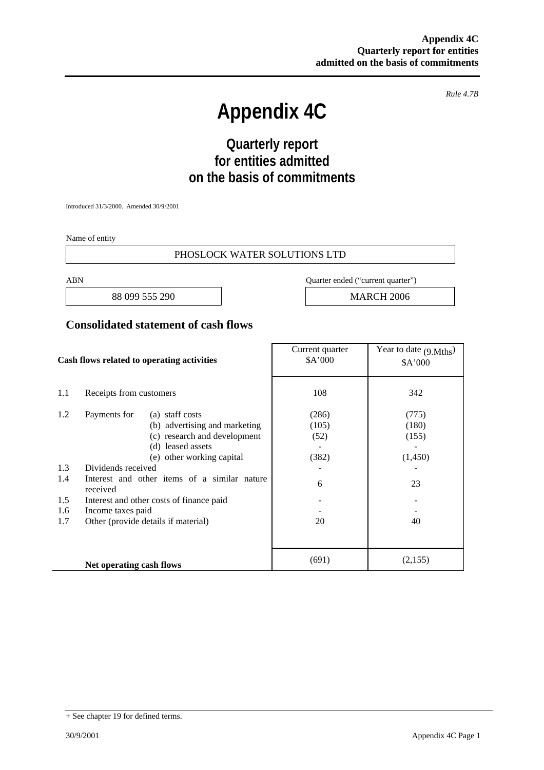*Rule 4.7B* 

# **Appendix 4C**

## **Quarterly report for entities admitted on the basis of commitments**

Introduced 31/3/2000. Amended 30/9/2001

Name of entity

#### PHOSLOCK WATER SOLUTIONS LTD

88 099 555 290 MARCH 2006

ABN Quarter ended ("current quarter")

### **Consolidated statement of cash flows**

| Cash flows related to operating activities |                                                          | Current quarter<br>\$A'000 | Year to date $(9 \text{ Mths})$<br>\$A'000 |
|--------------------------------------------|----------------------------------------------------------|----------------------------|--------------------------------------------|
| 1.1                                        | Receipts from customers                                  | 108                        | 342                                        |
| 1.2                                        | Payments for<br>(a) staff costs                          | (286)                      | (775)                                      |
|                                            | (b) advertising and marketing                            | (105)                      | (180)                                      |
|                                            | (c) research and development                             | (52)                       | (155)                                      |
|                                            | (d) leased assets                                        |                            |                                            |
|                                            | (e) other working capital                                | (382)                      | (1,450)                                    |
| 1.3                                        | Dividends received                                       |                            |                                            |
| 1.4                                        | Interest and other items of a similar nature<br>received | 6                          | 23                                         |
| 1.5                                        | Interest and other costs of finance paid                 |                            |                                            |
| 1.6                                        | Income taxes paid                                        |                            |                                            |
| 1.7                                        | Other (provide details if material)                      | 20                         | 40                                         |
|                                            |                                                          |                            |                                            |
|                                            | Net operating cash flows                                 | (691)                      | (2,155)                                    |

<sup>+</sup> See chapter 19 for defined terms.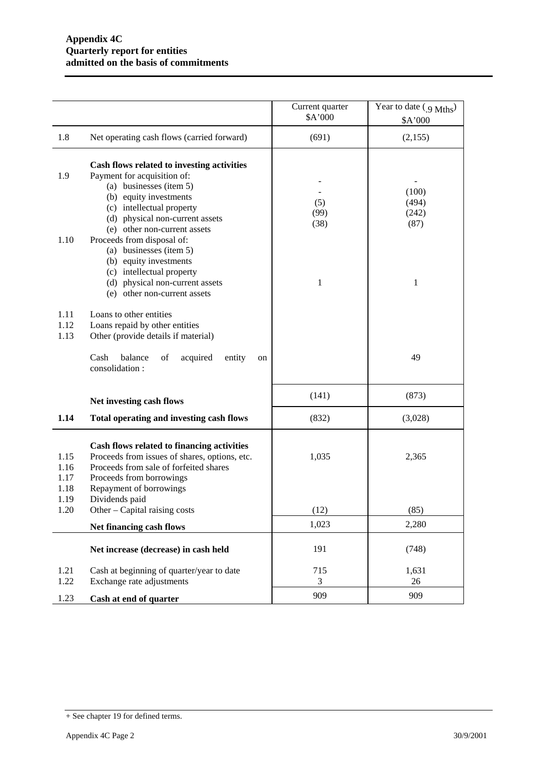|                                      |                                                                                                                                                                                                                                                                                                                                                | Current quarter<br>\$A'000 | Year to date (9 Mths)<br>\$A'000     |
|--------------------------------------|------------------------------------------------------------------------------------------------------------------------------------------------------------------------------------------------------------------------------------------------------------------------------------------------------------------------------------------------|----------------------------|--------------------------------------|
| 1.8                                  | Net operating cash flows (carried forward)                                                                                                                                                                                                                                                                                                     | (691)                      | (2,155)                              |
| 1.9<br>1.10                          | Cash flows related to investing activities<br>Payment for acquisition of:<br>(a) businesses (item 5)<br>(b) equity investments<br>(c) intellectual property<br>(d) physical non-current assets<br>(e) other non-current assets<br>Proceeds from disposal of:<br>(a) businesses (item 5)<br>(b) equity investments<br>(c) intellectual property | (5)<br>(99)<br>(38)<br>1   | (100)<br>(494)<br>(242)<br>(87)<br>1 |
| 1.11<br>1.12<br>1.13                 | (d) physical non-current assets<br>(e) other non-current assets<br>Loans to other entities<br>Loans repaid by other entities<br>Other (provide details if material)<br>balance<br>Cash<br>of<br>acquired<br>entity<br>on<br>consolidation:                                                                                                     |                            | 49                                   |
|                                      | Net investing cash flows                                                                                                                                                                                                                                                                                                                       | (141)                      | (873)                                |
| 1.14                                 | Total operating and investing cash flows                                                                                                                                                                                                                                                                                                       | (832)                      | (3,028)                              |
| 1.15<br>1.16<br>1.17<br>1.18<br>1.19 | Cash flows related to financing activities<br>Proceeds from issues of shares, options, etc.<br>Proceeds from sale of forfeited shares<br>Proceeds from borrowings<br>Repayment of borrowings<br>Dividends paid                                                                                                                                 | 1,035                      | 2,365                                |
| 1.20                                 | Other $-$ Capital raising costs                                                                                                                                                                                                                                                                                                                | (12)                       | (85)                                 |
|                                      | Net financing cash flows                                                                                                                                                                                                                                                                                                                       | 1,023                      | 2,280                                |
|                                      | Net increase (decrease) in cash held                                                                                                                                                                                                                                                                                                           | 191                        | (748)                                |
| 1.21<br>1.22                         | Cash at beginning of quarter/year to date<br>Exchange rate adjustments                                                                                                                                                                                                                                                                         | 715<br>3                   | 1,631<br>26                          |
| 1.23                                 | Cash at end of quarter                                                                                                                                                                                                                                                                                                                         | 909                        | 909                                  |

<sup>+</sup> See chapter 19 for defined terms.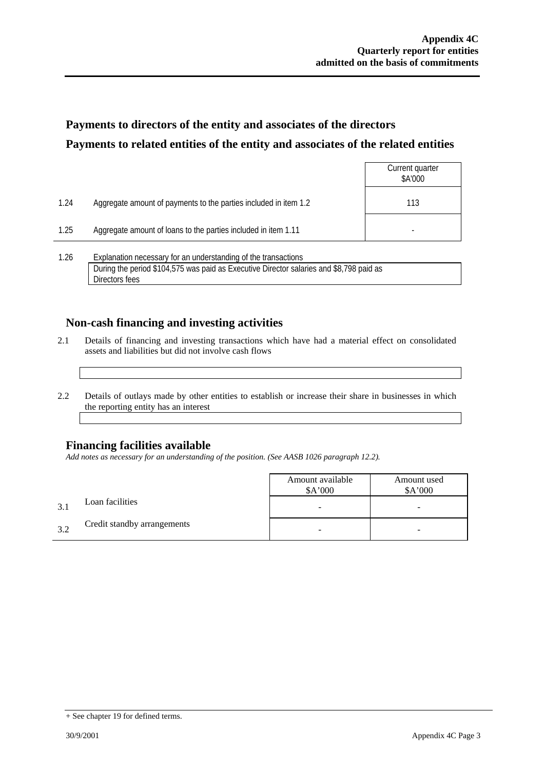### **Payments to directors of the entity and associates of the directors Payments to related entities of the entity and associates of the related entities**

|      |                                                                  | Current quarter<br>\$A'000 |
|------|------------------------------------------------------------------|----------------------------|
| 1.24 | Aggregate amount of payments to the parties included in item 1.2 | 113                        |
| 1.25 | Aggregate amount of loans to the parties included in item 1.11   |                            |
| 1.26 | Explanation necessary for an understanding of the transactions   |                            |

During the period \$104,575 was paid as Executive Director salaries and \$8,798 paid as Directors fees

### **Non-cash financing and investing activities**

- 2.1 Details of financing and investing transactions which have had a material effect on consolidated assets and liabilities but did not involve cash flows
- 2.2 Details of outlays made by other entities to establish or increase their share in businesses in which the reporting entity has an interest

### **Financing facilities available**

*Add notes as necessary for an understanding of the position. (See AASB 1026 paragraph 12.2).* 

|    |                             | Amount available<br>A'000 | Amount used<br>\$A'000 |
|----|-----------------------------|---------------------------|------------------------|
|    | Loan facilities             |                           | -                      |
| 32 | Credit standby arrangements |                           | -                      |

<sup>+</sup> See chapter 19 for defined terms.